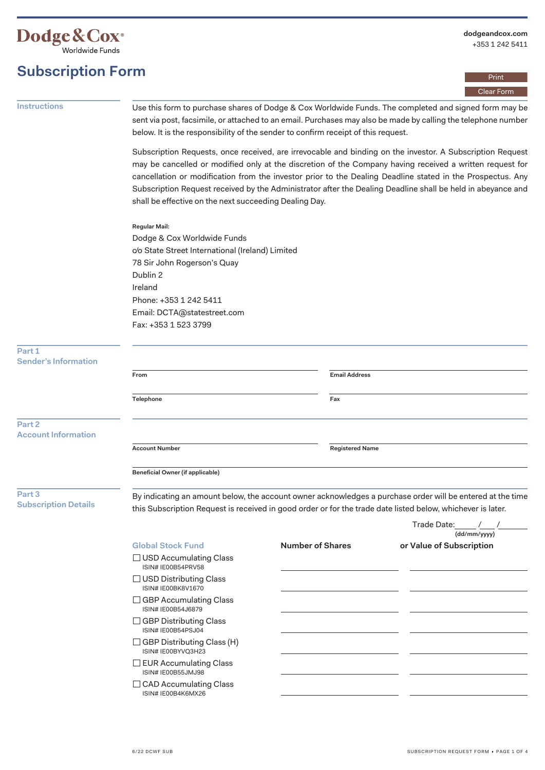

# **Subscription Form**

Print Clear Form

**Instructions** Use this form to purchase shares of Dodge & Cox Worldwide Funds. The completed and signed form may be sent via post, facsimile, or attached to an email. Purchases may also be made by calling the telephone number below. It is the responsibility of the sender to confirm receipt of this request.

> Subscription Requests, once received, are irrevocable and binding on the investor. A Subscription Request may be cancelled or modified only at the discretion of the Company having received a written request for cancellation or modification from the investor prior to the Dealing Deadline stated in the Prospectus. Any Subscription Request received by the Administrator after the Dealing Deadline shall be held in abeyance and shall be effective on the next succeeding Dealing Day.

**Regular Mail:** 

Dodge & Cox Worldwide Funds c/o State Street International (Ireland) Limited 78 Sir John Rogerson's Quay Dublin 2 Ireland Phone: +353 1 242 5411 Email: [DCTA@statestreet.com](mailto:DCTA@statestreet.com) Fax: +353 1 523 3799

**Part 1**  Sender'

| Sender's Information                  |                                                                                                                                                                                                                           |                        |  |  |
|---------------------------------------|---------------------------------------------------------------------------------------------------------------------------------------------------------------------------------------------------------------------------|------------------------|--|--|
|                                       | From                                                                                                                                                                                                                      | <b>Email Address</b>   |  |  |
|                                       | Telephone                                                                                                                                                                                                                 | Fax                    |  |  |
| Part 2<br><b>Account Information</b>  |                                                                                                                                                                                                                           |                        |  |  |
|                                       | <b>Account Number</b>                                                                                                                                                                                                     | <b>Registered Name</b> |  |  |
|                                       | Beneficial Owner (if applicable)                                                                                                                                                                                          |                        |  |  |
| Part 3<br><b>Subscription Details</b> | By indicating an amount below, the account owner acknowledges a purchase order will be entered at the time<br>this Subscription Request is received in good order or for the trade date listed below, whichever is later. |                        |  |  |

|                                                     |                  | Trade Date:<br>(dd/mm/yyyy) |
|-----------------------------------------------------|------------------|-----------------------------|
| <b>Global Stock Fund</b>                            | Number of Shares | or Value of Subscription    |
| $\Box$ USD Accumulating Class<br>ISIN# IE00B54PRV58 |                  |                             |
| □ USD Distributing Class<br>ISIN# IE00BK8V1670      |                  |                             |
| <b>GBP Accumulating Class</b><br>ISIN# IE00B54J6879 |                  |                             |
| <b>GBP Distributing Class</b><br>ISIN# IE00B54PSJ04 |                  |                             |
| GBP Distributing Class (H)<br>ISIN# IE00BYVQ3H23    |                  |                             |
| <b>EUR Accumulating Class</b><br>ISIN# IE00B55JMJ98 |                  |                             |
| $\Box$ CAD Accumulating Class<br>ISIN#IE00B4K6MX26  |                  |                             |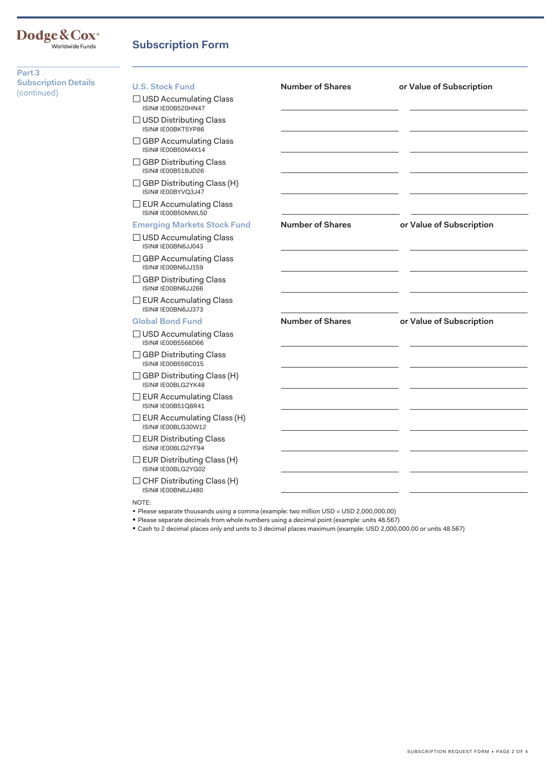#### **Dodge&Cox®** Worldwide Funds

### **Subscription Form**

**Part 3 Subscription Details**  (continued)

#### U.S. Stock Fund **Number of Shares or Value of Subscription**  $\Box$  USD Accumulating Class ISIN# IE00B520HN47  $\Box$  USD Distributing Class ISIN# IE00BKT5YP86  $\Box$  GBP Accumulating Class ISIN# IE00B50M4X14  $\Box$  GBP Distributing Class ISIN# IE00B51BJD26  $\square$  GBP Distributing Class (H) ISIN# IE00BYVQ3J47  $\Box$  EUR Accumulating Class ISIN# IE00B50MWL50 **Emerging Markets Stock Fund Number of Shares or Value of Subscription**   $\Box$  USD Accumulating Class ISIN# IE00BN6JJ043  $\Box$  GBP Accumulating Class ISIN# IE00BN6JJ159  $\Box$  GBP Distributing Class ISIN# IE00BN6JJ266  $\Box$  EUR Accumulating Class ISIN# IE00BN6JJ373 **Global Bond Fund Number of Shares or Value of Subscription**   $\Box$  USD Accumulating Class ISIN# IE00B5568D66  $\Box$  GBP Distributing Class ISIN# IE00B556C015  $\square$  GBP Distributing Class (H) ISIN# IE00BLG2YK48  $\Box$  EUR Accumulating Class  $\Box$  EUR Accumulating Class (H)  $\square$  EUR Distributing Class  $\square$  EUR Distributing Class (H)  $\square$  CHF Distributing Class (H) ISIN# IE00B51Q8R41 ISIN# IE00BLG30W12 ISIN# IE00BLG2YF94 ISIN# IE00BLG2YG02 ISIN# IE00BN6JJ480 NOTE:

Please separate thousands using a comma (example: two million USD = USD 2,000,000.00)

Please separate decimals from whole numbers using a decimal point (example: units 48.567)

Cash to 2 decimal places only and units to 3 decimal places maximum (example: USD 2,000,000.00 or units 48.567)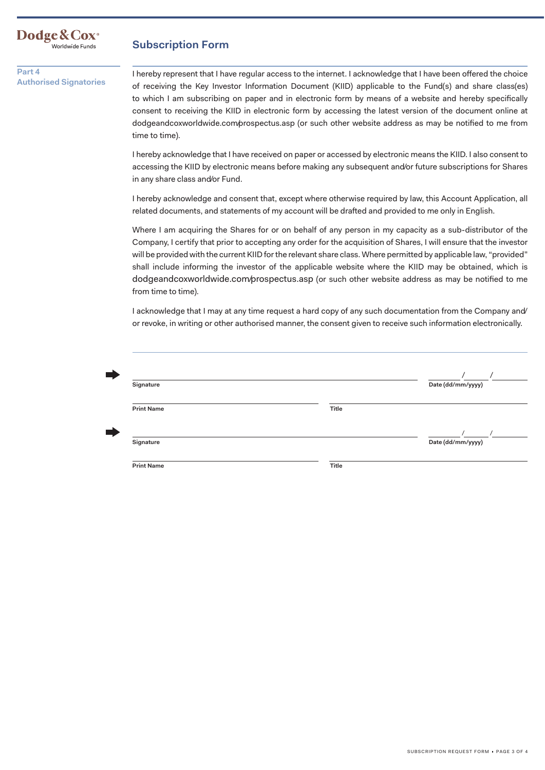

#### **Subscription Form**

**Part 4 Authorised Signatories** 

I hereby represent that I have regular access to the internet. I acknowledge that I have been offered the choice of receiving the Key Investor Information Document (KIID) applicable to the Fund(s) and share class(es) to which I am subscribing on paper and in electronic form by means of a website and hereby specifically consent to receiving the KIID in electronic form by accessing the latest version of the document online at [dodgeandcoxworldwide.com/prospectus.asp](https://dodgeandcoxworldwide.com/prospectus.asp) (or such other website address as may be notified to me from time to time).

I hereby acknowledge that I have received on paper or accessed by electronic means the KIID. I also consent to accessing the KIID by electronic means before making any subsequent and/or future subscriptions for Shares in any share class and/or Fund.

I hereby acknowledge and consent that, except where otherwise required by law, this Account Application, all related documents, and statements of my account will be drafted and provided to me only in English.

Where I am acquiring the Shares for or on behalf of any person in my capacity as a sub-distributor of the Company, I certify that prior to accepting any order for the acquisition of Shares, I will ensure that the investor will be provided with the current KIID for the relevant share class. Where permitted by applicable law, "provided" shall include informing the investor of the applicable website where the KIID may be obtained, which is [dodgeandcoxworldwide.com/prospectus.asp](https://dodgeandcoxworldwide.com/prospectus.asp) (or such other website address as may be notified to me from time to time).

I acknowledge that I may at any time request a hard copy of any such documentation from the Company and/ or revoke, in writing or other authorised manner, the consent given to receive such information electronically.

| Signature         |       | Date (dd/mm/yyyy) |
|-------------------|-------|-------------------|
| <b>Print Name</b> | Title |                   |
|                   |       |                   |
| Signature         |       | Date (dd/mm/yyyy) |